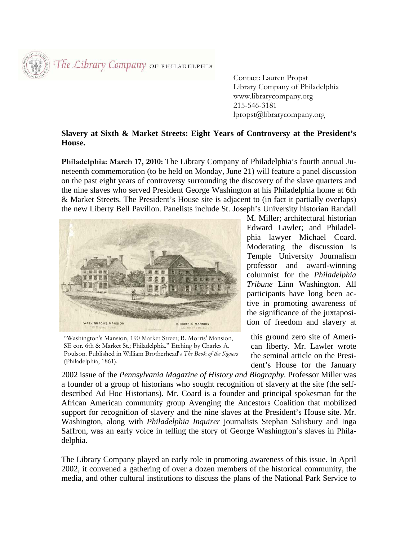The Library Company OF PHILADELPHIA

 Contact: Lauren Propst Library Company of Philadelphia www.librarycompany.org 215-546-3181 lpropst@librarycompany.org

## **Slavery at Sixth & Market Streets: Eight Years of Controversy at the President's House.**

**Philadelphia: March 17, 2010:** The Library Company of Philadelphia's fourth annual Juneteenth commemoration (to be held on Monday, June 21) will feature a panel discussion on the past eight years of controversy surrounding the discovery of the slave quarters and the nine slaves who served President George Washington at his Philadelphia home at 6th & Market Streets. The President's House site is adjacent to (in fact it partially overlaps) the new Liberty Bell Pavilion. Panelists include St. Joseph's University historian Randall



"Washington's Mansion, 190 Market Street; R. Morris' Mansion, SE cor. 6th & Market St.; Philadelphia." Etching by Charles A. Poulson. Published in William Brotherhead's *The Book of the Signers* (Philadelphia, 1861).

M. Miller; architectural historian Edward Lawler; and Philadelphia lawyer Michael Coard. Moderating the discussion is Temple University Journalism professor and award-winning columnist for the *Philadelphia Tribune* Linn Washington. All participants have long been active in promoting awareness of the significance of the juxtaposition of freedom and slavery at

this ground zero site of American liberty. Mr. Lawler wrote the seminal article on the President's House for the January

2002 issue of the *Pennsylvania Magazine of History and Biography*. Professor Miller was a founder of a group of historians who sought recognition of slavery at the site (the selfdescribed Ad Hoc Historians). Mr. Coard is a founder and principal spokesman for the African American community group Avenging the Ancestors Coalition that mobilized support for recognition of slavery and the nine slaves at the President's House site. Mr. Washington, along with *Philadelphia Inquirer* journalists Stephan Salisbury and Inga Saffron, was an early voice in telling the story of George Washington's slaves in Philadelphia.

The Library Company played an early role in promoting awareness of this issue. In April 2002, it convened a gathering of over a dozen members of the historical community, the media, and other cultural institutions to discuss the plans of the National Park Service to